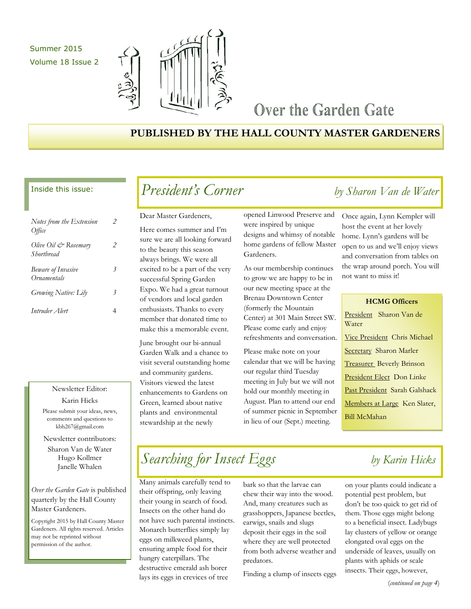### Summer 2015 Volume 18 Issue 2



### Over the Garden Gate

### **PUBLISHED BY THE HALL COUNTY MASTER GARDENERS**

#### Inside this issue:

| Notes from the Extension<br>Office                     |   |
|--------------------------------------------------------|---|
| Olive Oil & Rosemary<br>Shortbread                     | 2 |
| <b>Beware of Invasive</b><br><i><b>Ornamentals</b></i> | 3 |
| Growing Native: Lily                                   | 3 |
| Intruder Alert                                         |   |

#### Newsletter Editor:

Karin Hicks Please submit your ideas, news, comments and questions to kbh267@gmail.com

Newsletter contributors: Sharon Van de Water

Hugo Kollmer Janelle Whalen

*Over the Garden Gate* is published quarterly by the Hall County Master Gardeners.

Copyright 2015 by Hall County Master Gardeners. All rights reserved. Articles may not be reprinted without permission of the author.

### *President's Corner by Sharon Van de Water*

Dear Master Gardeners,

Here comes summer and I'm sure we are all looking forward to the beauty this season always brings. We were all excited to be a part of the very successful Spring Garden Expo. We had a great turnout of vendors and local garden enthusiasts. Thanks to every member that donated time to make this a memorable event.

June brought our bi-annual Garden Walk and a chance to visit several outstanding home and community gardens. Visitors viewed the latest enhancements to Gardens on Green, learned about native plants and environmental stewardship at the newly

opened Linwood Preserve and were inspired by unique designs and whimsy of notable home gardens of fellow Master Gardeners.

As our membership continues to grow we are happy to be in our new meeting space at the Brenau Downtown Center (formerly the Mountain Center) at 301 Main Street SW. Please come early and enjoy refreshments and conversation.

Please make note on your calendar that we will be having our regular third Tuesday meeting in July but we will not hold our monthly meeting in August. Plan to attend our end of summer picnic in September in lieu of our (Sept.) meeting.

Once again, Lynn Kempler will host the event at her lovely home. Lynn's gardens will be open to us and we'll enjoy views and conversation from tables on the wrap around porch. You will not want to miss it!

| <b>HCMG Officers</b>             |
|----------------------------------|
| President Sharon Van de          |
| Water                            |
| Vice President Chris Michael     |
| <b>Secretary Sharon Marler</b>   |
| <b>Treasurer</b> Beverly Brinson |
| President Elect Don Linke        |
| Past President Sarah Galshack    |
| Members at Large Ken Slater,     |
| Bill McMahan                     |

## *Searching for Insect Eggs by Karin Hicks*

Many animals carefully tend to their offspring, only leaving their young in search of food. Insects on the other hand do not have such parental instincts. Monarch butterflies simply lay eggs on milkweed plants, ensuring ample food for their hungry caterpillars. The destructive emerald ash borer lays its eggs in crevices of tree

bark so that the larvae can chew their way into the wood. And, many creatures such as grasshoppers, Japanese beetles, earwigs, snails and slugs deposit their eggs in the soil where they are well protected from both adverse weather and predators.

Finding a clump of insects eggs

on your plants could indicate a potential pest problem, but don't be too quick to get rid of them. Those eggs might belong to a beneficial insect. Ladybugs lay clusters of yellow or orange elongated oval eggs on the underside of leaves, usually on plants with aphids or scale insects. Their eggs, however,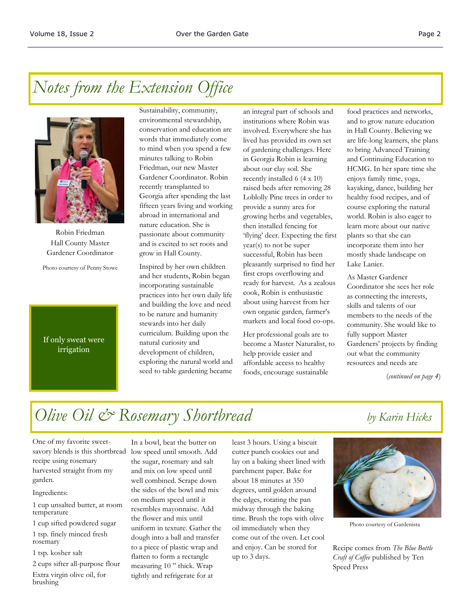### *Notes from the Extension Office*



Robin Friedman Hall County Master Gardener Coordinator

Photo courtesy of Penny Stowe

### If only sweat were irrigation

Sustainability, community, environmental stewardship, conservation and education are words that immediately come to mind when you spend a few minutes talking to Robin Friedman, our new Master Gardener Coordinator. Robin recently transplanted to Georgia after spending the last fifteen years living and working abroad in international and nature education. She is passionate about community and is excited to set roots and grow in Hall County.

Inspired by her own children and her students, Robin began incorporating sustainable practices into her own daily life and building the love and need to be nature and humanity stewards into her daily curriculum. Building upon the natural curiosity and development of children, exploring the natural world and seed to table gardening became

an integral part of schools and institutions where Robin was involved. Everywhere she has lived has provided its own set of gardening challenges. Here in Georgia Robin is learning about our clay soil. She recently installed 6 (4 x 10) raised beds after removing 28 Loblolly Pine trees in order to provide a sunny area for growing herbs and vegetables, then installed fencing for 'flying' deer. Expecting the first year(s) to not be super successful, Robin has been pleasantly surprised to find her first crops overflowing and ready for harvest. As a zealous cook, Robin is enthusiastic about using harvest from her own organic garden, farmer's markets and local food co-ops.

Her professional goals are to become a Master Naturalist, to help provide easier and affordable access to healthy foods, encourage sustainable

food practices and networks, and to grow nature education in Hall County. Believing we are life-long learners, she plans to bring Advanced Training and Continuing Education to HCMG. In her spare time she enjoys family time, yoga, kayaking, dance, building her healthy food recipes, and of course exploring the natural world. Robin is also eager to learn more about our native plants so that she can incorporate them into her mostly shade landscape on Lake Lanier.

As Master Gardener Coordinator she sees her role as connecting the interests, skills and talents of our members to the needs of the community. She would like to fully support Master Gardeners' projects by finding out what the community resources and needs are

(*continued on page 4*)

## *Olive Oil & Rosemary Shortbread by Karin Hicks*

One of my favorite sweetsavory blends is this shortbread recipe using rosemary harvested straight from my garden.

#### Ingredients:

1 cup unsalted butter, at room temperature

1 cup sifted powdered sugar 1 tsp. finely minced fresh rosemary

1 tsp. kosher salt

2 cups sifter all-purpose flour

Extra virgin olive oil, for brushing

In a bowl, beat the butter on low speed until smooth. Add the sugar, rosemary and salt and mix on low speed until well combined. Scrape down the sides of the bowl and mix on medium speed until it resembles mayonnaise. Add the flower and mix until uniform in texture. Gather the dough into a ball and transfer to a piece of plastic wrap and flatten to form a rectangle measuring 10 " thick. Wrap tightly and refrigerate for at

least 3 hours. Using a biscuit cutter punch cookies out and lay on a baking sheet lined with parchment paper. Bake for about 18 minutes at 350 degrees, until golden around the edges, rotating the pan midway through the baking time. Brush the tops with olive oil immediately when they come out of the oven. Let cool and enjoy. Can be stored for up to 3 days.



Photo courtesy of Gardenista

Recipe comes from *The Blue Bottle Craft of Coffee* published by Ten Speed Press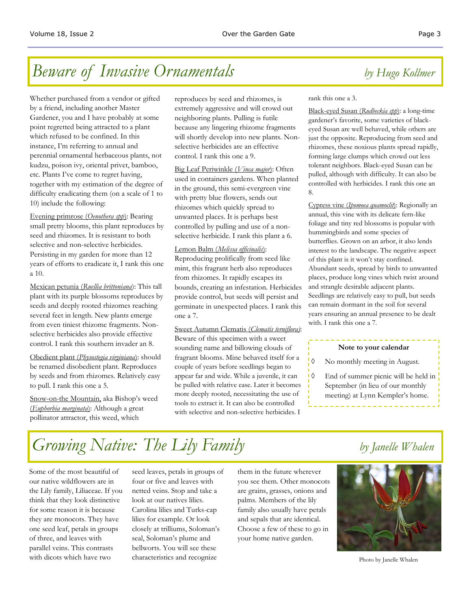### *Beware of Invasive Ornamentals by Hugo Kollmer*

Whether purchased from a vendor or gifted by a friend, including another Master Gardener, you and I have probably at some point regretted being attracted to a plant which refused to be confined. In this instance, I'm referring to annual and perennial ornamental herbaceous plants, not kudzu, poison ivy, oriental privet, bamboo, etc. Plants I've come to regret having, together with my estimation of the degree of difficulty eradicating them (on a scale of 1 to 10) include the following:

Evening primrose (*Oenothera spp*): Bearing small pretty blooms, this plant reproduces by seed and rhizomes. It is resistant to both selective and non-selective herbicides. Persisting in my garden for more than 12 years of efforts to eradicate it, I rank this one a 10.

Mexican petunia (*Ruellia brittoniana*): This tall plant with its purple blossoms reproduces by seeds and deeply rooted rhizomes reaching several feet in length. New plants emerge from even tiniest rhizome fragments. Nonselective herbicides also provide effective control. I rank this southern invader an 8.

Obedient plant (*Physostegia virginiana*): should be renamed disobedient plant. Reproduces by seeds and from rhizomes. Relatively easy to pull. I rank this one a 5.

Snow-on-the Mountain, aka Bishop's weed (*Euphorbia marginata*): Although a great pollinator attractor, this weed, which

reproduces by seed and rhizomes, is extremely aggressive and will crowd out neighboring plants. Pulling is futile because any lingering rhizome fragments will shortly develop into new plants. Nonselective herbicides are an effective control. I rank this one a 9.

Big Leaf Periwinkle (*Vinca major*): Often used in containers gardens. When planted in the ground, this semi-evergreen vine with pretty blue flowers, sends out rhizomes which quickly spread to unwanted places. It is perhaps best controlled by pulling and use of a nonselective herbicide. I rank this plant a 6.

#### Lemon Balm (*Melissa officinalis*):

Reproducing prolifically from seed like mint, this fragrant herb also reproduces from rhizomes. It rapidly escapes its bounds, creating an infestation. Herbicides provide control, but seeds will persist and germinate in unexpected places. I rank this one a 7.

#### Sweet Autumn Clematis (*Clematis terniflora)*:

Beware of this specimen with a sweet sounding name and billowing clouds of fragrant blooms. Mine behaved itself for a couple of years before seedlings began to appear far and wide. While a juvenile, it can be pulled with relative ease. Later it becomes more deeply rooted, necessitating the use of tools to extract it. It can also be controlled with selective and non-selective herbicides. I

#### rank this one a 3.

Black-eyed Susan (*Rudbeckia spp*): a long-time gardener's favorite, some varieties of blackeyed Susan are well behaved, while others are just the opposite. Reproducing from seed and rhizomes, these noxious plants spread rapidly, forming large clumps which crowd out less tolerant neighbors. Black-eyed Susan can be pulled, although with difficulty. It can also be controlled with herbicides. I rank this one an 8.

Cypress vine (*Ipomoea quamoclit*): Regionally an annual, this vine with its delicate fern-like foliage and tiny red blossoms is popular with hummingbirds and some species of butterflies. Grown on an arbor, it also lends interest to the landscape. The negative aspect of this plant is it won't stay confined. Abundant seeds, spread by birds to unwanted places, produce long vines which twist around and strangle desirable adjacent plants. Seedlings are relatively easy to pull, but seeds can remain dormant in the soil for several years ensuring an annual presence to be dealt with. I rank this one a 7.

#### **Note to your calendar**

- $\Diamond$  No monthly meeting in August.
- End of summer picnic will be held in September (in lieu of our monthly meeting) at Lynn Kempler's home.

# *Growing Native: The Lily Family by Janelle Whalen*

Some of the most beautiful of our native wildflowers are in the Lily family, Liliaceae. If you think that they look distinctive for some reason it is because they are monocots. They have one seed leaf, petals in groups of three, and leaves with parallel veins. This contrasts with dicots which have two

seed leaves, petals in groups of four or five and leaves with netted veins. Stop and take a look at our natives lilies. Carolina lilies and Turks-cap lilies for example. Or look closely at trilliums, Soloman's seal, Soloman's plume and bellworts. You will see these characteristics and recognize

them in the future wherever you see them. Other monocots are grains, grasses, onions and palms. Members of the lily family also usually have petals and sepals that are identical. Choose a few of these to go in your home native garden.